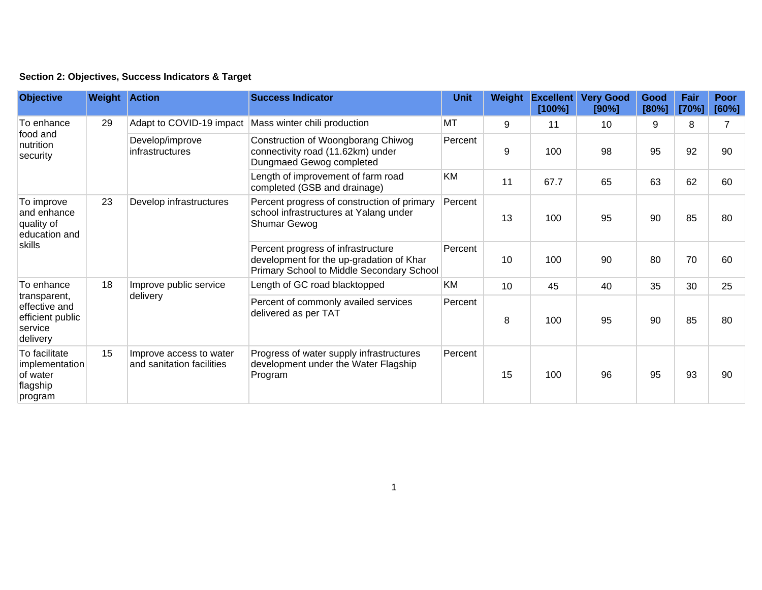## **Section 2: Objectives, Success Indicators & Target**

| <b>Objective</b>                                                                       | <b>Weight Action</b> |                                                      | <b>Success Indicator</b>                                                                                                    | <b>Unit</b> | Weight          | <b>Excellent</b><br>[100%] | <b>Very Good</b><br>[90%] | Good<br>[80%] | Fair<br>[70%] | Poor<br>[60%] |
|----------------------------------------------------------------------------------------|----------------------|------------------------------------------------------|-----------------------------------------------------------------------------------------------------------------------------|-------------|-----------------|----------------------------|---------------------------|---------------|---------------|---------------|
| To enhance<br>food and<br>nutrition<br>security                                        | 29                   | Adapt to COVID-19 impact                             | Mass winter chili production                                                                                                | MT          | 9               | 11                         | 10                        | 9             | 8             | 7             |
|                                                                                        |                      | Develop/improve<br>infrastructures                   | Construction of Woongborang Chiwog<br>connectivity road (11.62km) under<br>Dungmaed Gewog completed                         | Percent     | 9               | 100                        | 98                        | 95            | 92            | 90            |
|                                                                                        |                      |                                                      | Length of improvement of farm road<br>completed (GSB and drainage)                                                          | KM          | 11              | 67.7                       | 65                        | 63            | 62            | 60            |
| To improve<br>and enhance<br>quality of<br>education and<br>skills                     | 23                   | Develop infrastructures                              | Percent progress of construction of primary<br>school infrastructures at Yalang under<br>Shumar Gewog                       | Percent     | 13              | 100                        | 95                        | 90            | 85            | 80            |
|                                                                                        |                      |                                                      | Percent progress of infrastructure<br>development for the up-gradation of Khar<br>Primary School to Middle Secondary School | Percent     | 10              | 100                        | 90                        | 80            | 70            | 60            |
| To enhance<br>transparent,<br>effective and<br>efficient public<br>service<br>delivery | 18                   | Improve public service<br>delivery                   | Length of GC road blacktopped                                                                                               | KM          | 10 <sup>°</sup> | 45                         | 40                        | 35            | 30            | 25            |
|                                                                                        |                      |                                                      | Percent of commonly availed services<br>delivered as per TAT                                                                | Percent     | 8               | 100                        | 95                        | 90            | 85            | 80            |
| To facilitate<br>implementation<br>of water<br>flagship<br>program                     | 15                   | Improve access to water<br>and sanitation facilities | Progress of water supply infrastructures<br>development under the Water Flagship<br>Program                                 | Percent     | 15              | 100                        | 96                        | 95            | 93            | 90            |